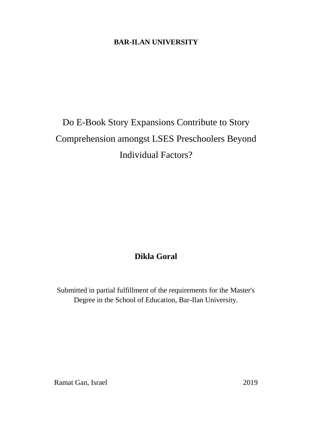## **BAR-ILAN UNIVERSITY**

## Do E-Book Story Expansions Contribute to Story Comprehension amongst LSES Preschoolers Beyond Individual Factors?

## **Dikla Goral**

Submitted in partial fulfillment of the requirements for the Master's Degree in the School of Education, Bar-Ilan University.

Ramat Gan, Israel 2019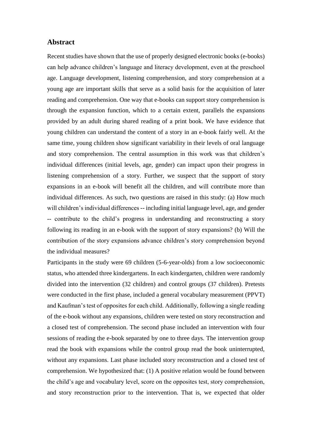## **Abstract**

Recent studies have shown that the use of properly designed electronic books (e-books) can help advance children's language and literacy development, even at the preschool age. Language development, listening comprehension, and story comprehension at a young age are important skills that serve as a solid basis for the acquisition of later reading and comprehension. One way that e-books can support story comprehension is through the expansion function, which to a certain extent, parallels the expansions provided by an adult during shared reading of a print book. We have evidence that young children can understand the content of a story in an e-book fairly well. At the same time, young children show significant variability in their levels of oral language and story comprehension. The central assumption in this work was that children's individual differences (initial levels, age, gender) can impact upon their progress in listening comprehension of a story. Further, we suspect that the support of story expansions in an e-book will benefit all the children, and will contribute more than individual differences. As such, two questions are raised in this study: (a) How much will children's individual differences -- including initial language level, age, and gender -- contribute to the child's progress in understanding and reconstructing a story following its reading in an e-book with the support of story expansions? (b) Will the contribution of the story expansions advance children's story comprehension beyond the individual measures?

Participants in the study were 69 children (5-6-year-olds) from a low socioeconomic status, who attended three kindergartens. In each kindergarten, children were randomly divided into the intervention (32 children) and control groups (37 children). Pretests were conducted in the first phase, included a general vocabulary measurement (PPVT) and Kaufman's test of opposites for each child. Additionally, following a single reading of the e-book without any expansions, children were tested on story reconstruction and a closed test of comprehension. The second phase included an intervention with four sessions of reading the e-book separated by one to three days. The intervention group read the book with expansions while the control group read the book uninterrupted, without any expansions. Last phase included story reconstruction and a closed test of comprehension. We hypothesized that: (1) A positive relation would be found between the child's age and vocabulary level, score on the opposites test, story comprehension, and story reconstruction prior to the intervention. That is, we expected that older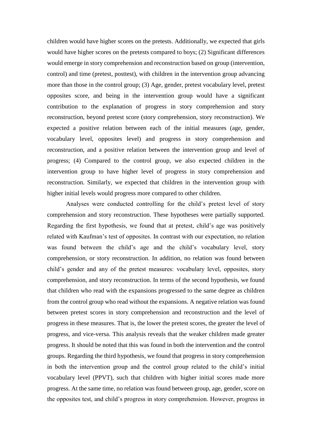children would have higher scores on the pretests. Additionally, we expected that girls would have higher scores on the pretests compared to boys; (2) Significant differences would emerge in story comprehension and reconstruction based on group (intervention, control) and time (pretest, posttest), with children in the intervention group advancing more than those in the control group; (3) Age, gender, pretest vocabulary level, pretest opposites score, and being in the intervention group would have a significant contribution to the explanation of progress in story comprehension and story reconstruction, beyond pretest score (story comprehension, story reconstruction). We expected a positive relation between each of the initial measures (age, gender, vocabulary level, opposites level) and progress in story comprehension and reconstruction, and a positive relation between the intervention group and level of progress; (4) Compared to the control group, we also expected children in the intervention group to have higher level of progress in story comprehension and reconstruction. Similarly, we expected that children in the intervention group with higher initial levels would progress more compared to other children.

Analyses were conducted controlling for the child's pretest level of story comprehension and story reconstruction. These hypotheses were partially supported. Regarding the first hypothesis, we found that at pretest, child's age was positively related with Kaufman's test of opposites. In contrast with our expectation, no relation was found between the child's age and the child's vocabulary level, story comprehension, or story reconstruction. In addition, no relation was found between child's gender and any of the pretest measures: vocabulary level, opposites, story comprehension, and story reconstruction. In terms of the second hypothesis, we found that children who read with the expansions progressed to the same degree as children from the control group who read without the expansions. A negative relation was found between pretest scores in story comprehension and reconstruction and the level of progress in these measures. That is, the lower the pretest scores, the greater the level of progress, and vice-versa. This analysis reveals that the weaker children made greater progress. It should be noted that this was found in both the intervention and the control groups. Regarding the third hypothesis, we found that progress in story comprehension in both the intervention group and the control group related to the child's initial vocabulary level (PPVT), such that children with higher initial scores made more progress. At the same time, no relation was found between group, age, gender, score on the opposites test, and child's progress in story comprehension. However, progress in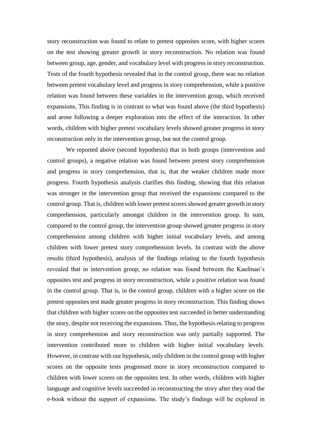story reconstruction was found to relate to pretest opposites score, with higher scores on the test showing greater growth in story reconstruction. No relation was found between group, age, gender, and vocabulary level with progress in story reconstruction. Tests of the fourth hypothesis revealed that in the control group, there was no relation between pretest vocabulary level and progress in story comprehension, while a positive relation was found between these variables in the intervention group, which received expansions. This finding is in contrast to what was found above (the third hypothesis) and arose following a deeper exploration into the effect of the interaction. In other words, children with higher pretest vocabulary levels showed greater progress in story reconstruction only in the intervention group, but not the control group.

We reported above (second hypothesis) that in both groups (intervention and control groups), a negative relation was found between pretest story comprehension and progress in story comprehension, that is, that the weaker children made more progress. Fourth hypothesis analysis clarifies this finding, showing that this relation was stronger in the intervention group that received the expansions compared to the control group. That is, children with lower pretest scores showed greater growth in story comprehension, particularly amongst children in the intervention group. In sum, compared to the control group, the intervention group showed greater progress in story comprehension among children with higher initial vocabulary levels, and among children with lower pretest story comprehension levels. In contrast with the above results (third hypothesis), analysis of the findings relating to the fourth hypothesis revealed that in intervention group, no relation was found between the Kaufman's opposites test and progress in story reconstruction, while a positive relation was found in the control group. That is, in the control group, children with a higher score on the pretest opposites test made greater progress in story reconstruction. This finding shows that children with higher scores on the opposites test succeeded in better understanding the story, despite not receiving the expansions. Thus, the hypothesis relating to progress in story comprehension and story reconstruction was only partially supported. The intervention contributed more to children with higher initial vocabulary levels. However, in contrast with our hypothesis, only children in the control group with higher scores on the opposite tests progressed more in story reconstruction compared to children with lower scores on the opposites test. In other words, children with higher language and cognitive levels succeeded in reconstructing the story after they read the e-book without the support of expansions. The study's findings will be explored in